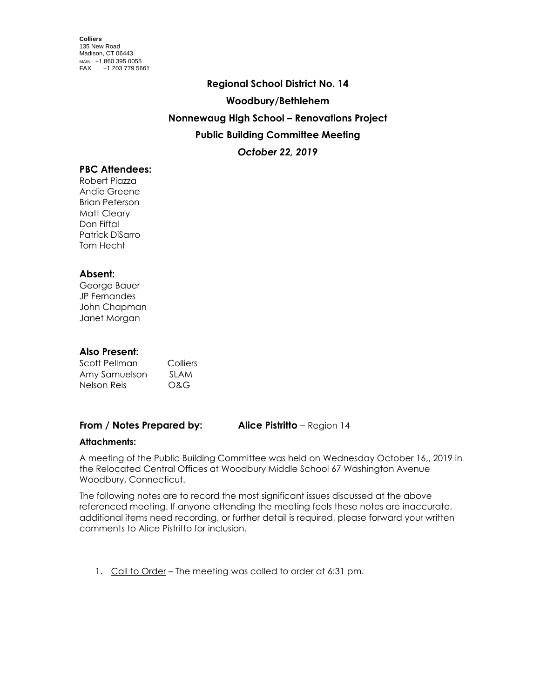# **Regional School District No. 14 Woodbury/Bethlehem Nonnewaug High School – Renovations Project Public Building Committee Meeting** *October 22, 2019*

## **PBC Attendees:**

Robert Piazza Andie Greene Brian Peterson Matt Cleary Don Fiftal Patrick DiSarro Tom Hecht

## **Absent:**

George Bauer JP Fernandes John Chapman Janet Morgan

## **Also Present:**

| Scott Pellman | Colliers    |
|---------------|-------------|
| Amy Samuelson | <b>SLAM</b> |
| Nelson Reis   | O&G         |

## **From / Notes Prepared by: Alice Pistritto** – Region 14

#### **Attachments:**

A meeting of the Public Building Committee was held on Wednesday October 16,, 2019 in the Relocated Central Offices at Woodbury Middle School 67 Washington Avenue Woodbury, Connecticut.

The following notes are to record the most significant issues discussed at the above referenced meeting. If anyone attending the meeting feels these notes are inaccurate, additional items need recording, or further detail is required, please forward your written comments to Alice Pistritto for inclusion.

1. Call to Order – The meeting was called to order at 6:31 pm.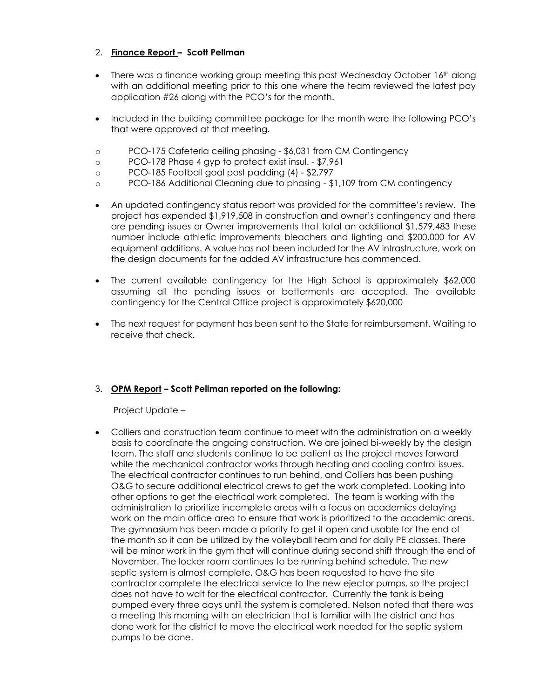## 2. **Finance Report – Scott Pellman**

- There was a finance working group meeting this past Wednesday October 16<sup>th</sup> along with an additional meeting prior to this one where the team reviewed the latest pay application #26 along with the PCO's for the month.
- Included in the building committee package for the month were the following PCO's that were approved at that meeting.
- o PCO-175 Cafeteria ceiling phasing \$6,031 from CM Contingency
- o PCO-178 Phase 4 gyp to protect exist insul. \$7,961
- o PCO-185 Football goal post padding (4) \$2,797
- o PCO-186 Additional Cleaning due to phasing \$1,109 from CM contingency
- An updated contingency status report was provided for the committee's review. The project has expended \$1,919,508 in construction and owner's contingency and there are pending issues or Owner improvements that total an additional \$1,579,483 these number include athletic improvements bleachers and lighting and \$200,000 for AV equipment additions. A value has not been included for the AV infrastructure, work on the design documents for the added AV infrastructure has commenced.
- The current available contingency for the High School is approximately \$62,000 assuming all the pending issues or betterments are accepted. The available contingency for the Central Office project is approximately \$620,000
- The next request for payment has been sent to the State for reimbursement. Waiting to receive that check.

#### 3. **OPM Report – Scott Pellman reported on the following:**

Project Update –

 Colliers and construction team continue to meet with the administration on a weekly basis to coordinate the ongoing construction. We are joined bi-weekly by the design team. The staff and students continue to be patient as the project moves forward while the mechanical contractor works through heating and cooling control issues. The electrical contractor continues to run behind, and Colliers has been pushing O&G to secure additional electrical crews to get the work completed. Looking into other options to get the electrical work completed. The team is working with the administration to prioritize incomplete areas with a focus on academics delaying work on the main office area to ensure that work is prioritized to the academic areas. The gymnasium has been made a priority to get it open and usable for the end of the month so it can be utilized by the volleyball team and for daily PE classes. There will be minor work in the gym that will continue during second shift through the end of November. The locker room continues to be running behind schedule. The new septic system is almost complete, O&G has been requested to have the site contractor complete the electrical service to the new ejector pumps, so the project does not have to wait for the electrical contractor. Currently the tank is being pumped every three days until the system is completed. Nelson noted that there was a meeting this morning with an electrician that is familiar with the district and has done work for the district to move the electrical work needed for the septic system pumps to be done.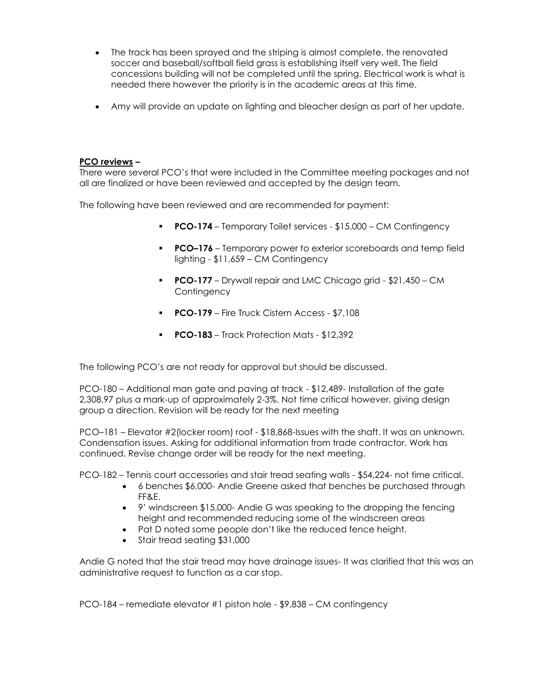- The track has been sprayed and the striping is almost complete, the renovated soccer and baseball/softball field grass is establishing itself very well. The field concessions building will not be completed until the spring. Electrical work is what is needed there however the priority is in the academic areas at this time.
- Amy will provide an update on lighting and bleacher design as part of her update.

#### **PCO reviews –**

There were several PCO's that were included in the Committee meeting packages and not all are finalized or have been reviewed and accepted by the design team.

The following have been reviewed and are recommended for payment:

- **PCO-174**  Temporary Toilet services \$15,000 CM Contingency
- **PCO-176** Temporary power to exterior scoreboards and temp field lighting - \$11,659 – CM Contingency
- **PCO-177** Drywall repair and LMC Chicago grid \$21,450 CM **Contingency**
- **PCO-179** Fire Truck Cistern Access \$7,108
- **PCO-183** Track Protection Mats \$12,392

The following PCO's are not ready for approval but should be discussed.

PCO-180 – Additional man gate and paving at track - \$12,489- Installation of the gate 2,308.97 plus a mark-up of approximately 2-3%. Not time critical however, giving design group a direction. Revision will be ready for the next meeting

PCO–181 – Elevator #2(locker room) roof - \$18,868-Issues with the shaft. It was an unknown. Condensation issues. Asking for additional information from trade contractor. Work has continued. Revise change order will be ready for the next meeting.

PCO-182 – Tennis court accessories and stair tread seating walls - \$54,224- not time critical.

- 6 benches \$6,000- Andie Greene asked that benches be purchased through FF&E.
- 9' windscreen \$15,000- Andie G was speaking to the dropping the fencing height and recommended reducing some of the windscreen areas
- Pat D noted some people don't like the reduced fence height.
- Stair tread seating \$31,000

Andie G noted that the stair tread may have drainage issues- It was clarified that this was an administrative request to function as a car stop.

PCO-184 – remediate elevator #1 piston hole - \$9,838 – CM contingency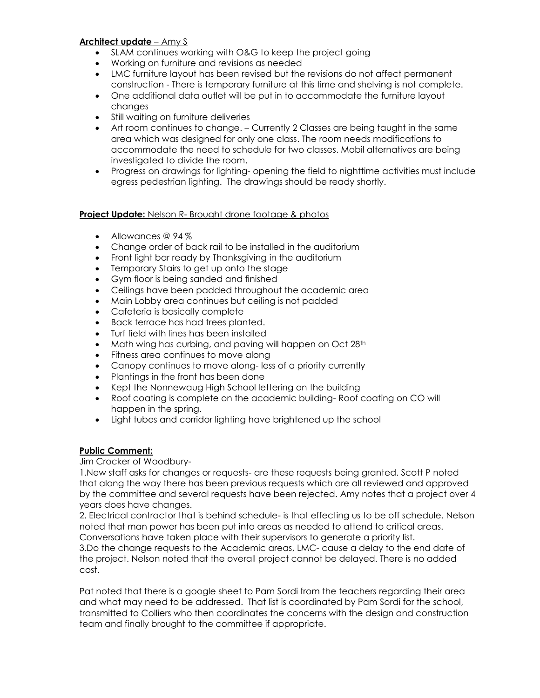## **Architect update** – Amy S

- SLAM continues working with O&G to keep the project going
- Working on furniture and revisions as needed
- LMC furniture layout has been revised but the revisions do not affect permanent construction - There is temporary furniture at this time and shelving is not complete.
- One additional data outlet will be put in to accommodate the furniture layout changes
- Still waiting on furniture deliveries
- Art room continues to change. Currently 2 Classes are being taught in the same area which was designed for only one class. The room needs modifications to accommodate the need to schedule for two classes. Mobil alternatives are being investigated to divide the room.
- Progress on drawings for lighting- opening the field to nighttime activities must include egress pedestrian lighting. The drawings should be ready shortly.

#### **Project Update:** Nelson R- Brought drone footage & photos

- Allowances @ 94 %
- Change order of back rail to be installed in the auditorium
- Front light bar ready by Thanksgiving in the auditorium
- Temporary Stairs to get up onto the stage
- Gym floor is being sanded and finished
- Ceilings have been padded throughout the academic area
- Main Lobby area continues but ceiling is not padded
- Cafeteria is basically complete
- Back terrace has had trees planted.
- Turf field with lines has been installed
- Math wing has curbing, and paving will happen on Oct 28<sup>th</sup>
- Fitness area continues to move along
- Canopy continues to move along- less of a priority currently
- Plantings in the front has been done
- Kept the Nonnewaug High School lettering on the building
- Roof coating is complete on the academic building- Roof coating on CO will happen in the spring.
- Light tubes and corridor lighting have brightened up the school

#### **Public Comment:**

#### Jim Crocker of Woodbury-

1.New staff asks for changes or requests- are these requests being granted. Scott P noted that along the way there has been previous requests which are all reviewed and approved by the committee and several requests have been rejected. Amy notes that a project over 4 years does have changes.

2. Electrical contractor that is behind schedule- is that effecting us to be off schedule. Nelson noted that man power has been put into areas as needed to attend to critical areas. Conversations have taken place with their supervisors to generate a priority list.

3.Do the change requests to the Academic areas, LMC- cause a delay to the end date of the project. Nelson noted that the overall project cannot be delayed. There is no added cost.

Pat noted that there is a google sheet to Pam Sordi from the teachers regarding their area and what may need to be addressed. That list is coordinated by Pam Sordi for the school, transmitted to Colliers who then coordinates the concerns with the design and construction team and finally brought to the committee if appropriate.